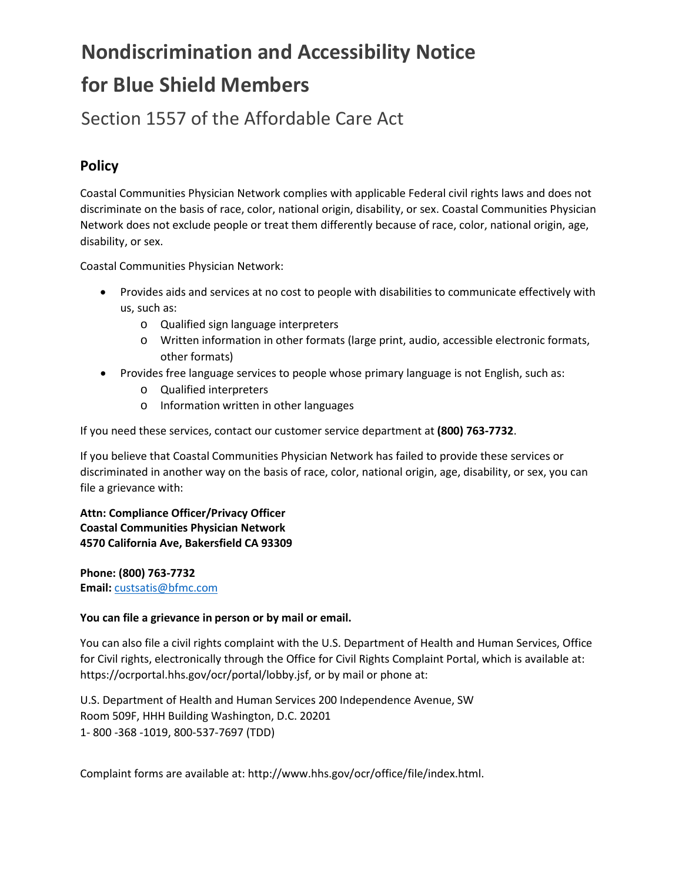# **Nondiscrimination and Accessibility Notice for Blue Shield Members**

Section 1557 of the Affordable Care Act

### **Policy**

Coastal Communities Physician Network complies with applicable Federal civil rights laws and does not discriminate on the basis of race, color, national origin, disability, or sex. Coastal Communities Physician Network does not exclude people or treat them differently because of race, color, national origin, age, disability, or sex.

Coastal Communities Physician Network:

- Provides aids and services at no cost to people with disabilities to communicate effectively with us, such as:
	- o Qualified sign language interpreters
	- o Written information in other formats (large print, audio, accessible electronic formats, other formats)
- Provides free language services to people whose primary language is not English, such as:
	- o Qualified interpreters
	- o Information written in other languages

If you need these services, contact our customer service department at **(800) 763-7732**.

If you believe that Coastal Communities Physician Network has failed to provide these services or discriminated in another way on the basis of race, color, national origin, age, disability, or sex, you can file a grievance with:

**Attn: Compliance Officer/Privacy Officer Coastal Communities Physician Network 4570 California Ave, Bakersfield CA 93309**

**Phone: (800) 763-7732 Email:** [custsatis@bfmc.com](mailto:custsatis@bfmc.com)

#### **You can file a grievance in person or by mail or email.**

You can also file a civil rights complaint with the U.S. Department of Health and Human Services, Office for Civil rights, electronically through the Office for Civil Rights Complaint Portal, which is available at: https://ocrportal.hhs.gov/ocr/portal/lobby.jsf, or by mail or phone at:

U.S. Department of Health and Human Services 200 Independence Avenue, SW Room 509F, HHH Building Washington, D.C. 20201 1- 800 -368 -1019, 800-537-7697 (TDD)

Complaint forms are available at: http://www.hhs.gov/ocr/office/file/index.html.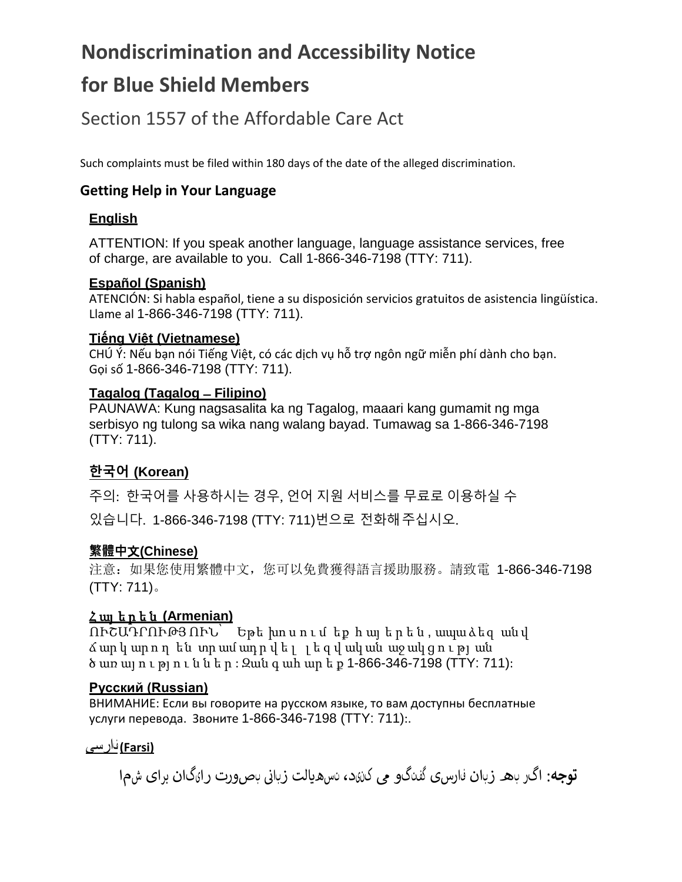# **Nondiscrimination and Accessibility Notice**

# **for Blue Shield Members**

Section 1557 of the Affordable Care Act

Such complaints must be filed within 180 days of the date of the alleged discrimination.

### **Getting Help in Your Language**

#### **English**

ATTENTION: If you speak another language, language assistance services, free of charge, are available to you. Call 1-866-346-7198 (TTY: 711).

#### **Español (Spanish)**

ATENCIÓN: Si habla español, tiene a su disposición servicios gratuitos de asistencia lingüística. Llame al 1-866-346-7198 (TTY: 711).

#### **Tiếng Việt (Vietnamese)**

CHÚ Ý: Nếu bạn nói Tiếng Việt, có các dịch vụ hỗ trợ ngôn ngữ miễn phí dành cho bạn. Gọi số 1-866-346-7198 (TTY: 711).

#### **Tagalog (Tagalog ̶Filipino)**

PAUNAWA: Kung nagsasalita ka ng Tagalog, maaari kang gumamit ng mga serbisyo ng tulong sa wika nang walang bayad. Tumawag sa 1-866-346-7198 (TTY: 711).

# **한국어 (Korean)**

주의: 한국어를 사용하시는 경우, 언어 지원 서비스를 무료로 이용하실 수 있습니다. 1-866-346-7198 (TTY: 711)번으로 전화해주십시오.

#### **繁體中**文**(Chinese)**

注意:如果您使用繁體中文,您可以免費獲得語言援助服務。請致電 1-866-346-7198 (TTY: 711)。

#### Հ այ ե ր ե ն **(Armenian)**

ՈՒՇԱԴՐՈՒԹՅ ՈՒՆ՝ Եթե խո ս ո ւ մ եք հ այ ե ր ե ն , ապա ձեզ ան վ ճ ար կ ար ո ղ են տր ամ ադ ր վ ե լ լ ե զ վ ակ ան աջ ակ ց ո ւ թյ ան ծ առ այ ո ւ թյ ո ւ ն ն ե ր : Զան գ ահ ար ե ք 1-866-346-7198 (TTY: 711):

#### **Русский (Russian)**

ВНИМАНИЕ: Если вы говорите на русском языке, то вам доступны бесплатные услуги перевода. Звоните 1-866-346-7198 (TTY: 711):.

#### **(Farsi (**فارسی

نبصورت رایگان برای شما **توجه**: اگر به زبان فارسی گفتگو � کنید، تسه�الت زبای